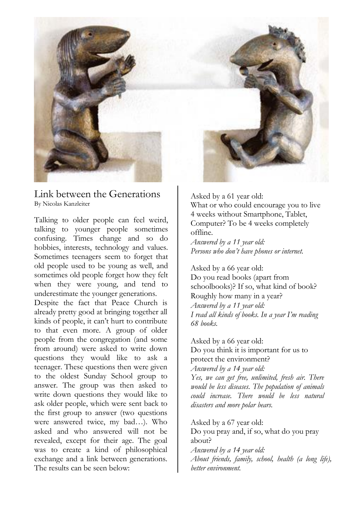

Link between the Generations By Nicolas Kanzleiter

Talking to older people can feel weird, talking to younger people sometimes confusing. Times change and so do hobbies, interests, technology and values. Sometimes teenagers seem to forget that old people used to be young as well, and sometimes old people forget how they felt when they were young, and tend to underestimate the younger generations.

Despite the fact that Peace Church is already pretty good at bringing together all kinds of people, it can't hurt to contribute to that even more. A group of older people from the congregation (and some from around) were asked to write down questions they would like to ask a teenager. These questions then were given to the oldest Sunday School group to answer. The group was then asked to write down questions they would like to ask older people, which were sent back to the first group to answer (two questions were answered twice, my bad…). Who asked and who answered will not be revealed, except for their age. The goal was to create a kind of philosophical exchange and a link between generations. The results can be seen below:

Asked by a 61 year old:

What or who could encourage you to live 4 weeks without Smartphone, Tablet, Computer? To be 4 weeks completely offline.

*Answered by a 11 year old: Persons who don't have phones or internet.*

Asked by a 66 year old: Do you read books (apart from schoolbooks)? If so, what kind of book? Roughly how many in a year? *Answered by a 11 year old: I read all kinds of books. In a year I'm reading 68 books.*

Asked by a 66 year old: Do you think it is important for us to protect the environment? *Answered by a 14 year old: Yes, we can get free, unlimited, fresh air. There would be less diseases. The population of animals could increase. There would be less natural disasters and more polar bears.*

Asked by a 67 year old: Do you pray and, if so, what do you pray about? *Answered by a 14 year old: About friends, family, school, health (a long life), better environment.*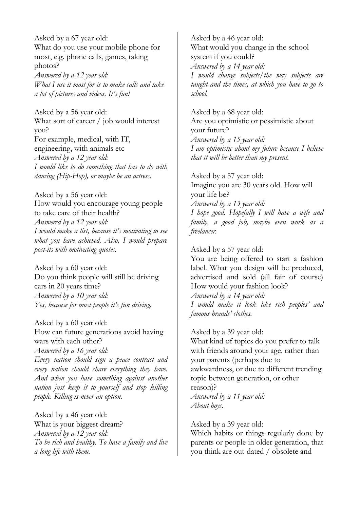Asked by a 67 year old: What do you use your mobile phone for most, e.g. phone calls, games, taking photos? *Answered by a 12 year old:*

*What I use it most for is to make calls and take a lot of pictures and videos. It's fun!*

Asked by a 56 year old: What sort of career / job would interest you? For example, medical, with IT, engineering, with animals etc *Answered by a 12 year old: I would like to do something that has to do with dancing (Hip-Hop), or maybe be an actress.*

Asked by a 56 year old: How would you encourage young people to take care of their health? *Answered by a 12 year old: I would make a list, because it's motivating to see what you have achieved. Also, I would prepare post-its with motivating quotes.*

Asked by a 60 year old: Do you think people will still be driving cars in 20 years time? *Answered by a 10 year old: Yes, because for most people it's fun driving.*

Asked by a 60 year old: How can future generations avoid having wars with each other? *Answered by a 16 year old: Every nation should sign a peace contract and every nation should share everything they have. And when you have something against another nation just keep it to yourself and stop killing people. Killing is never an option.*

Asked by a 46 year old: What is your biggest dream? *Answered by a 12 year old: To be rich and healthy. To have a family and live a long life with them.*

Asked by a 46 year old: What would you change in the school system if you could? *Answered by a 14 year old: I would change subjects/the way subjects are taught and the times, at which you have to go to school.*

Asked by a 68 year old: Are you optimistic or pessimistic about your future? *Answered by a 15 year old: I am optimistic about my future because I believe that it will be better than my present.*

Asked by a 57 year old: Imagine you are 30 years old. How will your life be? *Answered by a 13 year old: I hope good. Hopefully I will have a wife and family, a good job, maybe even work as a freelancer.*

Asked by a 57 year old:

You are being offered to start a fashion label. What you design will be produced, advertised and sold (all fair of course) How would your fashion look?

*Answered by a 14 year old: I would make it look like rich peoples' and famous brands' clothes.*

Asked by a 39 year old: What kind of topics do you prefer to talk with friends around your age, rather than your parents (perhaps due to awkwardness, or due to different trending topic between generation, or other reason)? *Answered by a 11 year old: About boys.*

Asked by a 39 year old: Which habits or things regularly done by parents or people in older generation, that you think are out-dated / obsolete and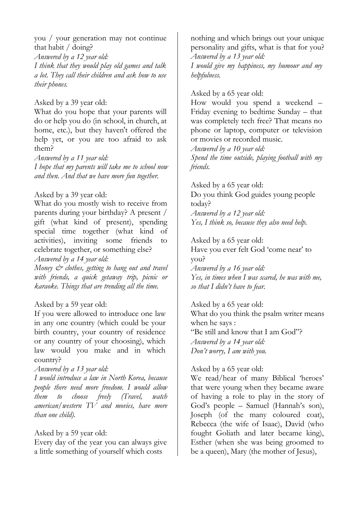you / your generation may not continue that habit / doing?

*Answered by a 12 year old:*

*I think that they would play old games and talk a lot. They call their children and ask how to use their phones.*

Asked by a 39 year old:

What do you hope that your parents will do or help you do (in school, in church, at home, etc.), but they haven't offered the help yet, or you are too afraid to ask them?

*Answered by a 11 year old: I hope that my parents will take me to school now and then. And that we have more fun together.*

Asked by a 39 year old:

What do you mostly wish to receive from parents during your birthday? A present / gift (what kind of present), spending special time together (what kind of activities), inviting some friends to celebrate together, or something else?

*Answered by a 14 year old:*

*Money & clothes, getting to hang out and travel with friends, a quick getaway trip, picnic or karaoke. Things that are trending all the time.*

# Asked by a 59 year old:

If you were allowed to introduce one law in any one country (which could be your birth country, your country of residence or any country of your choosing), which law would you make and in which country?

## *Answered by a 13 year old:*

*I would introduce a law in North Korea, because people there need more freedom. I would allow them to choose freely (Travel, watch american/western TV and movies, have more than one child).*

## Asked by a 59 year old:

Every day of the year you can always give a little something of yourself which costs

nothing and which brings out your unique personality and gifts, what is that for you? *Answered by a 13 year old:*

*I would give my happiness, my humour and my helpfulness.*

# Asked by a 65 year old:

How would you spend a weekend – Friday evening to bedtime Sunday – that was completely tech free? That means no phone or laptop, computer or television or movies or recorded music.

*Answered by a 10 year old: Spend the time outside, playing football with my friends.*

Asked by a 65 year old: Do you think God guides young people today?

*Answered by a 12 year old: Yes, I think so, because they also need help.*

Asked by a 65 year old:

Have you ever felt God 'come near' to you? *Answered by a 16 year old: Yes, in times when I was scared, he was with me, so that I didn't have to fear.*

Asked by a 65 year old: What do you think the psalm writer means when he says : "Be still and know that I am God"? *Answered by a 14 year old: Don't worry, I am with you.*

# Asked by a 65 year old:

We read/hear of many Biblical 'heroes' that were young when they became aware of having a role to play in the story of God's people – Samuel (Hannah's son), Joseph (of the many coloured coat), Rebecca (the wife of Isaac), David (who fought Goliath and later became king), Esther (when she was being groomed to be a queen), Mary (the mother of Jesus),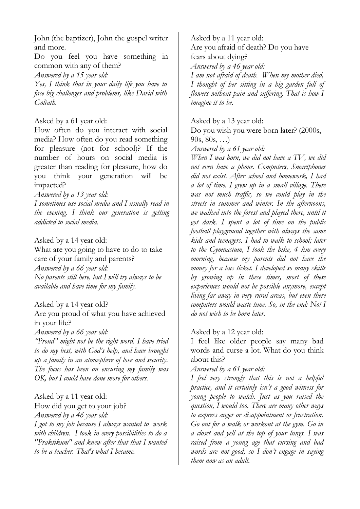John (the baptizer), John the gospel writer and more.

Do you feel you have something in common with any of them?

*Answered by a 15 year old:*

*Yes, I think that in your daily life you have to face big challenges and problems, like David with Goliath.*

#### Asked by a 61 year old:

How often do you interact with social media? How often do you read something for pleasure (not for school)? If the number of hours on social media is greater than reading for pleasure, how do you think your generation will be impacted?

*Answered by a 13 year old:*

*I sometimes use social media and I usually read in the evening. I think our generation is getting addicted to social media.*

Asked by a 14 year old:

What are you going to have to do to take care of your family and parents? *Answered by a 66 year old: No parents still here, but I will try always to be available and have time for my family.*

Asked by a 14 year old?

Are you proud of what you have achieved in your life?

*Answered by a 66 year old:*

*"Proud" might not be the right word. I have tried to do my best, with God's help, and have brought up a family in an atmosphere of love and security. The focus has been on ensuring my family was OK, but I could have done more for others.*

## Asked by a 11 year old:

How did you get to your job? *Answered by a 46 year old: I got to my job because I always wanted to work with children. I took in every possibilities to do a "Praktikum" and knew after that that I wanted to be a teacher. That's what I became.*

Asked by a 11 year old: Are you afraid of death? Do you have fears about dying? *Answered by a 46 year old: I am not afraid of death. When my mother died, I thought of her sitting in a big garden full of*

*flowers without pain and suffering. That is how I imagine it to be.*

#### Asked by a 13 year old:

Do you wish you were born later? (2000s,  $90s, 80s, ...)$ 

*Answered by a 61 year old:*

*When I was born, we did not have a TV, we did not even have a phone. Computers, Smartphones did not exist. After school and homework, I had a lot of time. I grew up in a small village. There was not much traffic, so we could play in the streets in summer and winter. In the afternoons, we walked into the forest and played there, until it got dark. I spent a lot of time on the public football playground together with always the same kids and teenagers. I had to walk to school; later to the Gymnasium, I took the bike, 4 km every morning, because my parents did not have the money for a bus ticket. I developed so many skills by growing up in these times, most of these experiences would not be possible anymore, except living far away in very rural areas, but even there computers would waste time. So, in the end: No! I do not wish to be born later.*

## Asked by a 12 year old:

I feel like older people say many bad words and curse a lot. What do you think about this?

#### *Answered by a 61 year old:*

*I feel very strongly that this is not a helpful practice, and it certainly isn't a good witness for young people to watch. Just as you raised the question, I would too. There are many other ways to express anger or disappointment or frustration. Go out for a walk or workout at the gym. Go in a closet and yell at the top of your lungs. I was raised from a young age that cursing and bad words are not good, so I don't engage in saying them now as an adult.*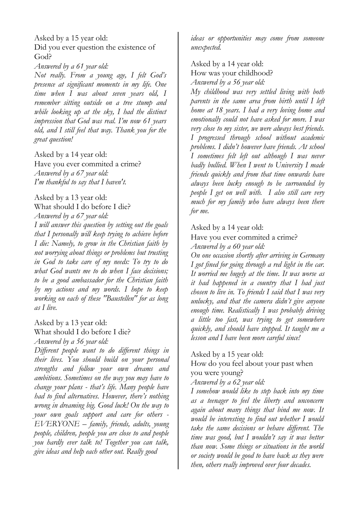Asked by a 15 year old: Did you ever question the existence of God?

*Answered by a 61 year old:*

*Not really. From a young age, I felt God's presence at significant moments in my life. One time when I was about seven years old, I remember sitting outside on a tree stump and while looking up at the sky, I had the distinct impression that God was real. I'm now 61 years old, and I still feel that way. Thank you for the great question!*

Asked by a 14 year old:

Have you ever commited a crime? *Answered by a 67 year old: I'm thankful to say that I haven't.*

Asked by a 13 year old: What should I do before I die? *Answered by a 67 year old:*

*I will answer this question by setting out the goals that I personally will keep trying to achieve before I die: Namely, to grow in the Christian faith by not worrying about things or problems but trusting in God to take care of my needs: To try to do what God wants me to do when I face decisions; to be a good ambassador for the Christian faith by my actions and my words. I hope to keep working on each of these "Baustellen" for as long as I live.*

Asked by a 13 year old: What should I do before I die?

*Answered by a 56 year old:*

*Different people want to do different things in their lives. You should build on your personal strengths and follow your own dreams and ambitions. Sometimes on the way you may have to change your plans - that's life. Many people have had to find alternatives. However, there's nothing wrong in dreaming big. Good luck! On the way to your own goals support and care for others - EVERYONE – family, friends, adults, young people, children, people you are close to and people you hardly ever talk to! Together you can talk, give ideas and help each other out. Really good*

*ideas or opportunities may come from someone unexpected.*

## Asked by a 14 year old: How was your childhood? *Answered by a 56 year old:*

*My childhood was very settled living with both parents in the same area from birth until I left home at 18 years. I had a very loving home and emotionally could not have asked for more. I was very close to my sister, we were always best friends. I progressed through school without academic problems. I didn't however have friends. At school I sometimes felt left out although I was never badly bullied. When I went to University I made friends quickly and from that time onwards have always been lucky enough to be surrounded by people I get on well with. I also still care very much for my family who have always been there for me.*

Asked by a 14 year old:

Have you ever commited a crime?

*Answered by a 60 year old:*

*On one occasion shortly after arriving in Germany I got fined for going through a red light in the car. It worried me hugely at the time. It was worse as it had happened in a country that I had just chosen to live in. To friends I said that I was very unlucky, and that the camera didn't give anyone enough time. Realistically I was probably driving a little too fast, was trying to get somewhere quickly, and should have stopped. It taught me a lesson and I have been more careful since!*

Asked by a 15 year old:

How do you feel about your past when you were young?

*Answered by a 62 year old:*

*I somehow would like to step back into my time as a teenager to feel the liberty and unconcern again about many things that bind me now. It would be interesting to find out whether I would take the same decisions or behave different. The time was good, but I wouldn't say it was better than now. Some things or situations in the world or society would be good to have back as they were then, others really improved over four decades.*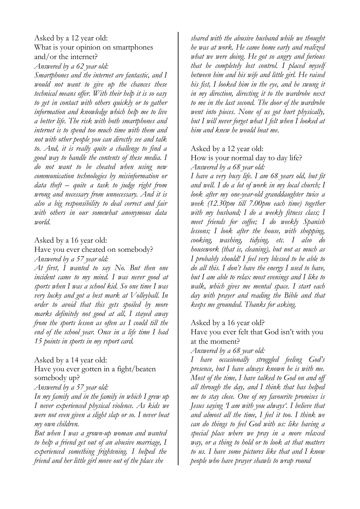## Asked by a 12 year old: What is your opinion on smartphones and/or the internet?

*Answered by a 62 year old:*

*Smartphones and the internet are fantastic, and I would not want to give up the chances these technical means offer. With their help it is so easy to get in contact with others quickly or to gather information and knowledge which help me to live a better life. The risk with both smartphones and internet is to spend too much time with them and not with other people you can directly see and talk to. And, it is really quite a challenge to find a good way to handle the contents of these media. I do not want to be cheated when using new communication technologies by misinformation or data theft – quite a task to judge right from wrong and necessary from unnecessary. And it is also a big responsibility to deal correct and fair with others in our somewhat anonymous data world.*

## Asked by a 16 year old:

#### Have you ever cheated on somebody? *Answered by a 57 year old:*

*At first, I wanted to say No. But then one incident came to my mind. I was never good at sports when I was a school kid. So one time I was very lucky and got a best mark at Volleyball. In order to avoid that this gets spoiled by more marks definitely not good at all, I stayed away from the sports lesson as often as I could till the end of the school year. Once in a life time I had 15 points in sports in my report card.*

Asked by a 14 year old:

Have you ever gotten in a fight/beaten somebody up?

*Answered by a 57 year old:*

*In my family and in the family in which I grew up I never experienced physical violence. As kids we were not even given a slight slap or so. I never beat my own children.*

*But when I was a grown-up woman and wanted to help a friend get out of an abusive marriage, I experienced something frightening. I helped the friend and her little girl move out of the place she*

*shared with the abusive husband while we thought he was at work. He came home early and realized what we were doing. He got so angry and furious that he completely lost control. I placed myself between him and his wife and little girl. He raised his fist, I looked him in the eye, and he swung it in my direction, directing it to the wardrobe next to me in the last second. The door of the wardrobe went into pieces. None of us got hurt physically, but I will never forget what I felt when I looked at him and knew he would beat me.*

# Asked by a 12 year old:

How is your normal day to day life? *Answered by a 68 year old:*

*I have a very busy life. I am 68 years old, but fit and well. I do a lot of work in my local church; I look after my one-year-old granddaughter twice a week (12.30pm till 7.00pm each time) together with my husband; I do a weekly fitness class; I meet friends for coffee; I do weekly Spanish lessons; I look after the house, with shopping, cooking, washing, tidying, etc. I also do housework (that is, cleaning), but not as much as I probably should! I feel very blessed to be able to do all this. I don't have the energy I used to have, but I am able to relax most evenings and I like to walk, which gives me mental space. I start each day with prayer and reading the Bible and that keeps me grounded. Thanks for asking.*

## Asked by a 16 year old?

Have you ever felt that God isn't with you at the moment?

*Answered by a 68 year old:*

*I have occasionally struggled feeling God's presence, but I have always known he is with me. Most of the time, I have talked to God on and off all through the day, and I think that has helped me to stay close. One of my favourite promises is Jesus saying 'I am with you always'. I believe that and almost all the time, I feel it too. I think we can do things to feel God with us: like having a special place where we pray in a more relaxed way, or a thing to hold or to look at that matters to us. I have some pictures like that and I know people who have prayer shawls to wrap round*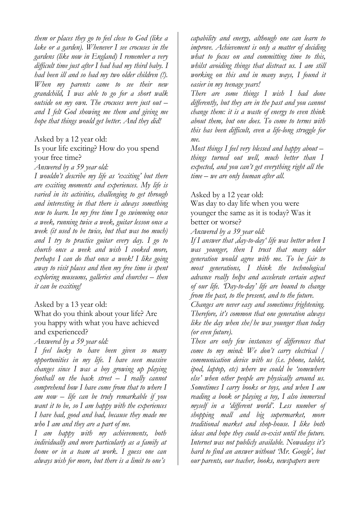*them or places they go to feel close to God (like a lake or a garden). Whenever I see crocuses in the gardens (like now in England) I remember a very difficult time just after I had had my third baby. I had been ill and so had my two older children (!). When my parents came to see their new grandchild, I was able to go for a short walk outside on my own. The crocuses were just out – and I felt God showing me them and giving me hope that things would get better. And they did!*

## Asked by a 12 year old:

## Is your life exciting? How do you spend your free time?

#### *Answered by a 59 year old:*

*I wouldn't describe my life as 'exciting' but there are exciting moments and experiences. My life is varied in its activities, challenging to get through and interesting in that there is always something new to learn. In my free time I go swimming once a week, running twice a week, guitar lesson once a week (it used to be twice, but that was too much) and I try to practice guitar every day. I go to church once a week and wish I cooked more, perhaps I can do that once a week! I like going away to visit places and then my free time is spent exploring museums, galleries and churches – then it can be exciting!*

#### Asked by a 13 year old:

What do you think about your life? Are you happy with what you have achieved and experienced?

*Answered by a 59 year old:*

*I feel lucky to have been given so many opportunities in my life. I have seen massive changes since I was a boy growing up playing football on the back street – I really cannot comprehend how I have come from that to where I am now – life can be truly remarkable if you want it to be, so I am happy with the experiences I have had, good and bad, because they made me who I am and they are a part of me.*

*I am happy with my achievements, both individually and more particularly as a family at home or in a team at work. I guess one can always wish for more, but there is a limit to one's*

*capability and energy, although one can learn to improve. Achievement is only a matter of deciding what to focus on and committing time to this, whilst avoiding things that distract us. I am still working on this and in many ways, I found it easier in my teenage years!*

*There are some things I wish I had done differently, but they are in the past and you cannot change them: it is a waste of energy to even think about them, but one does. To come to terms with this has been difficult, even a life-long struggle for me.*

*Most things I feel very blessed and happy about – things turned out well, much better than I expected, and you can't get everything right all the time – we are only human after all.*

#### Asked by a 12 year old:

Was day to day life when you were younger the same as it is today? Was it better or worse?

*Answered by a 39 year old:*

*If I answer that 'day-to-day' life was better when I was younger, then I trust that many older generation would agree with me. To be fair to most generations, I think the technological advance really helps and accelerate certain aspect of our life. 'Day-to-day' life are bound to change from the past, to the present, and to the future.*

*Changes are never easy and sometimes frightening. Therefore, it's common that one generation always like the day when she/he was younger than today (or even future).*

*These are only few instances of differences that come to my mind: We don't carry electrical / communication device with us (i.e. phone, tablet, ipod, laptop, etc) where we could be 'somewhere else' when other people are physically around us. Sometimes I carry books or toys, and when I am reading a book or playing a toy, I also immersed myself in a 'different world'. Less number of shopping mall and big supermarket, more traditional market and shop-house. I like both ideas and hope they could co-exist until the future. Internet was not publicly available. Nowadays it's hard to find an answer without 'Mr. Google', but our parents, our teacher, books, newspapers were*